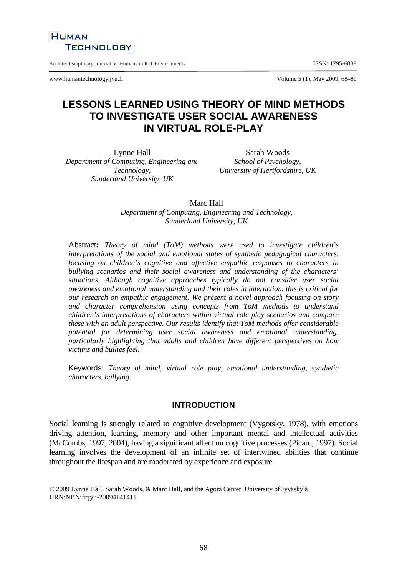

An Interdisciplinary Journal on Humans in ICT Environments **ISSN: 1795-6889** 

www.humantechnology.jyu.fi Volume 5 (1), May 2009, 68–89

# **LESSONS LEARNED USING THEORY OF MIND METHODS TO INVESTIGATE USER SOCIAL AWARENESS IN VIRTUAL ROLE-PLAY**

Lynne Hall *Department of Computing, Engineering and Technology, Sunderland University, UK* 

Sarah Woods *School of Psychology, University of Hertfordshire, UK* 

Marc Hall *Department of Computing, Engineering and Technology, Sunderland University, UK* 

Abstract*: Theory of mind (ToM) methods were used to investigate children's interpretations of the social and emotional states of synthetic pedagogical characters, focusing on children's cognitive and affective empathic responses to characters in bullying scenarios and their social awareness and understanding of the characters' situations. Although cognitive approaches typically do not consider user social awareness and emotional understanding and their roles in interaction, this is critical for our research on empathic engagement. We present a novel approach focusing on story and character comprehension using concepts from ToM methods to understand children's interpretations of characters within virtual role play scenarios and compare these with an adult perspective. Our results identify that ToM methods offer considerable potential for determining user social awareness and emotional understanding, particularly highlighting that adults and children have different perspectives on how victims and bullies feel.* 

Keywords: *Theory of mind, virtual role play, emotional understanding, synthetic characters, bullying.*

## **INTRODUCTION**

Social learning is strongly related to cognitive development (Vygotsky, 1978), with emotions driving attention, learning, memory and other important mental and intellectual activities (McCombs, 1997, 2004), having a significant affect on cognitive processes (Picard, 1997). Social learning involves the development of an infinite set of intertwined abilities that continue throughout the lifespan and are moderated by experience and exposure.

<sup>© 2009</sup> Lynne Hall, Sarah Woods, & Marc Hall, and the Agora Center, University of Jyväskylä URN:NBN:fi:jyu-20094141411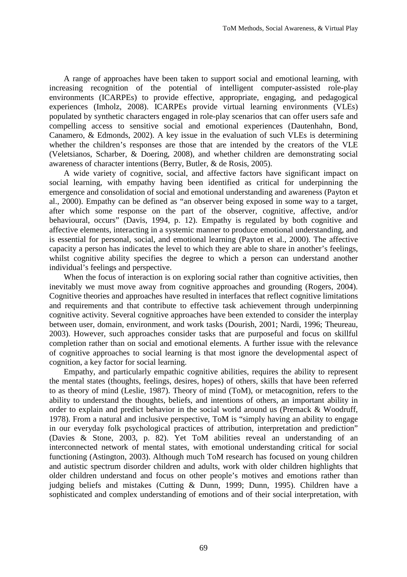A range of approaches have been taken to support social and emotional learning, with increasing recognition of the potential of intelligent computer-assisted role-play environments (ICARPEs) to provide effective, appropriate, engaging, and pedagogical experiences (Imholz, 2008). ICARPEs provide virtual learning environments (VLEs) populated by synthetic characters engaged in role-play scenarios that can offer users safe and compelling access to sensitive social and emotional experiences (Dautenhahn, Bond, Canamero, & Edmonds, 2002). A key issue in the evaluation of such VLEs is determining whether the children's responses are those that are intended by the creators of the VLE (Veletsianos, Scharber, & Doering, 2008), and whether children are demonstrating social awareness of character intentions (Berry, Butler, & de Rosis, 2005).

 A wide variety of cognitive, social, and affective factors have significant impact on social learning, with empathy having been identified as critical for underpinning the emergence and consolidation of social and emotional understanding and awareness (Payton et al., 2000). Empathy can be defined as "an observer being exposed in some way to a target, after which some response on the part of the observer, cognitive, affective, and/or behavioural, occurs" (Davis, 1994, p. 12). Empathy is regulated by both cognitive and affective elements, interacting in a systemic manner to produce emotional understanding, and is essential for personal, social, and emotional learning (Payton et al., 2000). The affective capacity a person has indicates the level to which they are able to share in another's feelings, whilst cognitive ability specifies the degree to which a person can understand another individual's feelings and perspective.

When the focus of interaction is on exploring social rather than cognitive activities, then inevitably we must move away from cognitive approaches and grounding (Rogers, 2004). Cognitive theories and approaches have resulted in interfaces that reflect cognitive limitations and requirements and that contribute to effective task achievement through underpinning cognitive activity. Several cognitive approaches have been extended to consider the interplay between user, domain, environment, and work tasks (Dourish, 2001; Nardi, 1996; Theureau, 2003). However, such approaches consider tasks that are purposeful and focus on skillful completion rather than on social and emotional elements. A further issue with the relevance of cognitive approaches to social learning is that most ignore the developmental aspect of cognition, a key factor for social learning.

 Empathy, and particularly empathic cognitive abilities, requires the ability to represent the mental states (thoughts, feelings, desires, hopes) of others, skills that have been referred to as theory of mind (Leslie, 1987). Theory of mind (ToM), or metacognition, refers to the ability to understand the thoughts, beliefs, and intentions of others, an important ability in order to explain and predict behavior in the social world around us (Premack & Woodruff, 1978). From a natural and inclusive perspective, ToM is "simply having an ability to engage in our everyday folk psychological practices of attribution, interpretation and prediction" (Davies & Stone, 2003, p. 82). Yet ToM abilities reveal an understanding of an interconnected network of mental states, with emotional understanding critical for social functioning (Astington, 2003). Although much ToM research has focused on young children and autistic spectrum disorder children and adults, work with older children highlights that older children understand and focus on other people's motives and emotions rather than judging beliefs and mistakes (Cutting & Dunn, 1999; Dunn, 1995). Children have a sophisticated and complex understanding of emotions and of their social interpretation, with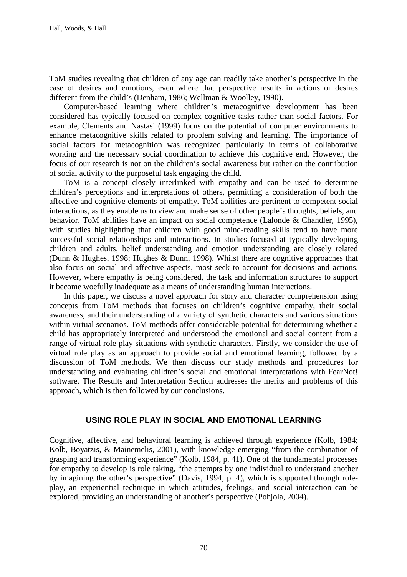ToM studies revealing that children of any age can readily take another's perspective in the case of desires and emotions, even where that perspective results in actions or desires different from the child's (Denham, 1986; Wellman & Woolley, 1990).

 Computer-based learning where children's metacognitive development has been considered has typically focused on complex cognitive tasks rather than social factors. For example, Clements and Nastasi (1999) focus on the potential of computer environments to enhance metacognitive skills related to problem solving and learning. The importance of social factors for metacognition was recognized particularly in terms of collaborative working and the necessary social coordination to achieve this cognitive end. However, the focus of our research is not on the children's social awareness but rather on the contribution of social activity to the purposeful task engaging the child.

 ToM is a concept closely interlinked with empathy and can be used to determine children's perceptions and interpretations of others, permitting a consideration of both the affective and cognitive elements of empathy. ToM abilities are pertinent to competent social interactions, as they enable us to view and make sense of other people's thoughts, beliefs, and behavior. ToM abilities have an impact on social competence (Lalonde & Chandler, 1995), with studies highlighting that children with good mind-reading skills tend to have more successful social relationships and interactions. In studies focused at typically developing children and adults, belief understanding and emotion understanding are closely related (Dunn & Hughes, 1998; Hughes & Dunn, 1998). Whilst there are cognitive approaches that also focus on social and affective aspects, most seek to account for decisions and actions. However, where empathy is being considered, the task and information structures to support it become woefully inadequate as a means of understanding human interactions.

 In this paper, we discuss a novel approach for story and character comprehension using concepts from ToM methods that focuses on children's cognitive empathy, their social awareness, and their understanding of a variety of synthetic characters and various situations within virtual scenarios. ToM methods offer considerable potential for determining whether a child has appropriately interpreted and understood the emotional and social content from a range of virtual role play situations with synthetic characters. Firstly, we consider the use of virtual role play as an approach to provide social and emotional learning, followed by a discussion of ToM methods. We then discuss our study methods and procedures for understanding and evaluating children's social and emotional interpretations with FearNot! software. The Results and Interpretation Section addresses the merits and problems of this approach, which is then followed by our conclusions.

## **USING ROLE PLAY IN SOCIAL AND EMOTIONAL LEARNING**

Cognitive, affective, and behavioral learning is achieved through experience (Kolb, 1984; Kolb, Boyatzis, & Mainemelis, 2001), with knowledge emerging "from the combination of grasping and transforming experience" (Kolb, 1984, p. 41). One of the fundamental processes for empathy to develop is role taking, "the attempts by one individual to understand another by imagining the other's perspective" (Davis, 1994, p. 4), which is supported through roleplay, an experiential technique in which attitudes, feelings, and social interaction can be explored, providing an understanding of another's perspective (Pohjola, 2004).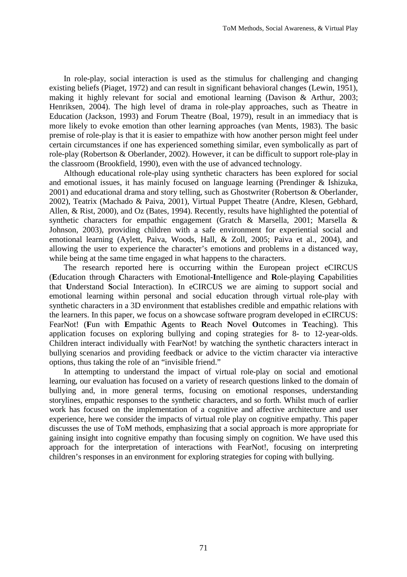In role-play, social interaction is used as the stimulus for challenging and changing existing beliefs (Piaget, 1972) and can result in significant behavioral changes (Lewin, 1951), making it highly relevant for social and emotional learning (Davison & Arthur, 2003; Henriksen, 2004). The high level of drama in role-play approaches, such as Theatre in Education (Jackson, 1993) and Forum Theatre (Boal, 1979), result in an immediacy that is more likely to evoke emotion than other learning approaches (van Ments, 1983). The basic premise of role-play is that it is easier to empathize with how another person might feel under certain circumstances if one has experienced something similar, even symbolically as part of role-play (Robertson & Oberlander, 2002). However, it can be difficult to support role-play in the classroom (Brookfield, 1990), even with the use of advanced technology.

 Although educational role-play using synthetic characters has been explored for social and emotional issues, it has mainly focused on language learning (Prendinger & Ishizuka, 2001) and educational drama and story telling, such as Ghostwriter (Robertson & Oberlander, 2002), Teatrix (Machado & Paiva, 2001), Virtual Puppet Theatre (Andre, Klesen, Gebhard, Allen, & Rist, 2000), and Oz (Bates, 1994). Recently, results have highlighted the potential of synthetic characters for empathic engagement (Gratch & Marsella, 2001; Marsella & Johnson, 2003), providing children with a safe environment for experiential social and emotional learning (Aylett, Paiva, Woods, Hall, & Zoll, 2005; Paiva et al., 2004), and allowing the user to experience the character's emotions and problems in a distanced way, while being at the same time engaged in what happens to the characters.

 The research reported here is occurring within the European project eCIRCUS (**E**ducation through **C**haracters with Emotional-**I**ntelligence and **R**ole-playing **C**apabilities that **U**nderstand **S**ocial Interaction). In eCIRCUS we are aiming to support social and emotional learning within personal and social education through virtual role-play with synthetic characters in a 3D environment that establishes credible and empathic relations with the learners. In this paper, we focus on a showcase software program developed in eCIRCUS: FearNot! (**F**un with **E**mpathic **A**gents to **R**each **N**ovel **O**utcomes in **T**eaching). This application focuses on exploring bullying and coping strategies for 8- to 12-year-olds. Children interact individually with FearNot! by watching the synthetic characters interact in bullying scenarios and providing feedback or advice to the victim character via interactive options, thus taking the role of an "invisible friend."

 In attempting to understand the impact of virtual role-play on social and emotional learning, our evaluation has focused on a variety of research questions linked to the domain of bullying and, in more general terms, focusing on emotional responses, understanding storylines, empathic responses to the synthetic characters, and so forth. Whilst much of earlier work has focused on the implementation of a cognitive and affective architecture and user experience, here we consider the impacts of virtual role play on cognitive empathy. This paper discusses the use of ToM methods, emphasizing that a social approach is more appropriate for gaining insight into cognitive empathy than focusing simply on cognition. We have used this approach for the interpretation of interactions with FearNot!, focusing on interpreting children's responses in an environment for exploring strategies for coping with bullying.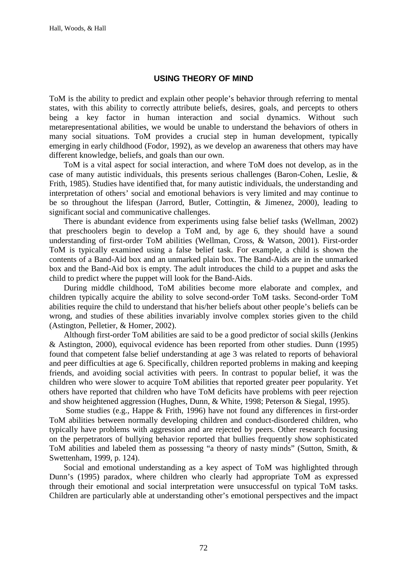## **USING THEORY OF MIND**

ToM is the ability to predict and explain other people's behavior through referring to mental states, with this ability to correctly attribute beliefs, desires, goals, and percepts to others being a key factor in human interaction and social dynamics. Without such metarepresentational abilities, we would be unable to understand the behaviors of others in many social situations. ToM provides a crucial step in human development, typically emerging in early childhood (Fodor, 1992), as we develop an awareness that others may have different knowledge, beliefs, and goals than our own.

ToM is a vital aspect for social interaction, and where ToM does not develop, as in the case of many autistic individuals, this presents serious challenges (Baron-Cohen, Leslie, & Frith, 1985). Studies have identified that, for many autistic individuals, the understanding and interpretation of others' social and emotional behaviors is very limited and may continue to be so throughout the lifespan (Jarrord, Butler, Cottingtin, & Jimenez, 2000), leading to significant social and communicative challenges.

 There is abundant evidence from experiments using false belief tasks (Wellman, 2002) that preschoolers begin to develop a ToM and, by age 6, they should have a sound understanding of first-order ToM abilities (Wellman, Cross, & Watson, 2001). First-order ToM is typically examined using a false belief task. For example, a child is shown the contents of a Band-Aid box and an unmarked plain box. The Band-Aids are in the unmarked box and the Band-Aid box is empty. The adult introduces the child to a puppet and asks the child to predict where the puppet will look for the Band-Aids.

 During middle childhood, ToM abilities become more elaborate and complex, and children typically acquire the ability to solve second-order ToM tasks. Second-order ToM abilities require the child to understand that his/her beliefs about other people's beliefs can be wrong, and studies of these abilities invariably involve complex stories given to the child (Astington, Pelletier, & Homer, 2002).

Although first-order ToM abilities are said to be a good predictor of social skills (Jenkins & Astington, 2000), equivocal evidence has been reported from other studies. Dunn (1995) found that competent false belief understanding at age 3 was related to reports of behavioral and peer difficulties at age 6. Specifically, children reported problems in making and keeping friends, and avoiding social activities with peers. In contrast to popular belief, it was the children who were slower to acquire ToM abilities that reported greater peer popularity. Yet others have reported that children who have ToM deficits have problems with peer rejection and show heightened aggression (Hughes, Dunn, & White, 1998; Peterson & Siegal, 1995).

 Some studies (e.g., Happe & Frith, 1996) have not found any differences in first-order ToM abilities between normally developing children and conduct-disordered children, who typically have problems with aggression and are rejected by peers. Other research focusing on the perpetrators of bullying behavior reported that bullies frequently show sophisticated ToM abilities and labeled them as possessing "a theory of nasty minds" (Sutton, Smith, & Swettenham, 1999, p. 124).

Social and emotional understanding as a key aspect of ToM was highlighted through Dunn's (1995) paradox, where children who clearly had appropriate ToM as expressed through their emotional and social interpretation were unsuccessful on typical ToM tasks. Children are particularly able at understanding other's emotional perspectives and the impact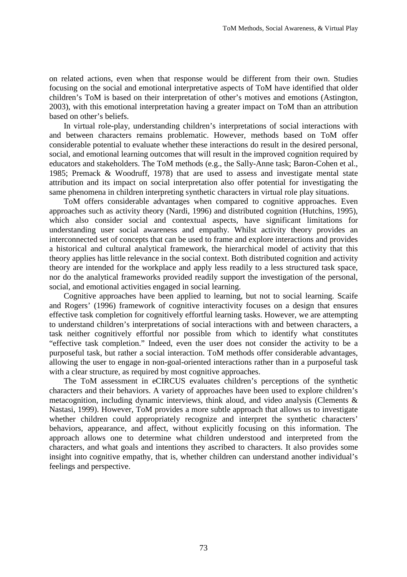on related actions, even when that response would be different from their own. Studies focusing on the social and emotional interpretative aspects of ToM have identified that older children's ToM is based on their interpretation of other's motives and emotions (Astington, 2003), with this emotional interpretation having a greater impact on ToM than an attribution based on other's beliefs.

 In virtual role-play, understanding children's interpretations of social interactions with and between characters remains problematic. However, methods based on ToM offer considerable potential to evaluate whether these interactions do result in the desired personal, social, and emotional learning outcomes that will result in the improved cognition required by educators and stakeholders. The ToM methods (e.g., the Sally-Anne task; Baron-Cohen et al., 1985; Premack & Woodruff, 1978) that are used to assess and investigate mental state attribution and its impact on social interpretation also offer potential for investigating the same phenomena in children interpreting synthetic characters in virtual role play situations.

 ToM offers considerable advantages when compared to cognitive approaches. Even approaches such as activity theory (Nardi, 1996) and distributed cognition (Hutchins, 1995), which also consider social and contextual aspects, have significant limitations for understanding user social awareness and empathy. Whilst activity theory provides an interconnected set of concepts that can be used to frame and explore interactions and provides a historical and cultural analytical framework, the hierarchical model of activity that this theory applies has little relevance in the social context. Both distributed cognition and activity theory are intended for the workplace and apply less readily to a less structured task space, nor do the analytical frameworks provided readily support the investigation of the personal, social, and emotional activities engaged in social learning.

Cognitive approaches have been applied to learning, but not to social learning. Scaife and Rogers' (1996) framework of cognitive interactivity focuses on a design that ensures effective task completion for cognitively effortful learning tasks. However, we are attempting to understand children's interpretations of social interactions with and between characters, a task neither cognitively effortful nor possible from which to identify what constitutes "effective task completion." Indeed, even the user does not consider the activity to be a purposeful task, but rather a social interaction. ToM methods offer considerable advantages, allowing the user to engage in non-goal-oriented interactions rather than in a purposeful task with a clear structure, as required by most cognitive approaches.

 The ToM assessment in eCIRCUS evaluates children's perceptions of the synthetic characters and their behaviors. A variety of approaches have been used to explore children's metacognition, including dynamic interviews, think aloud, and video analysis (Clements & Nastasi, 1999). However, ToM provides a more subtle approach that allows us to investigate whether children could appropriately recognize and interpret the synthetic characters' behaviors, appearance, and affect, without explicitly focusing on this information. The approach allows one to determine what children understood and interpreted from the characters, and what goals and intentions they ascribed to characters. It also provides some insight into cognitive empathy, that is, whether children can understand another individual's feelings and perspective.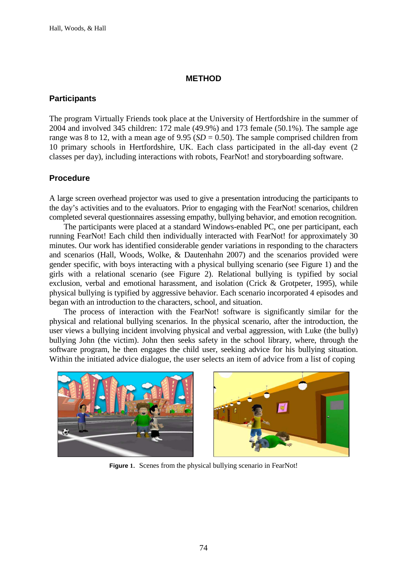#### **METHOD**

## **Participants**

The program Virtually Friends took place at the University of Hertfordshire in the summer of 2004 and involved 345 children: 172 male (49.9%) and 173 female (50.1%). The sample age range was 8 to 12, with a mean age of  $9.95$  (*SD* = 0.50). The sample comprised children from 10 primary schools in Hertfordshire, UK. Each class participated in the all-day event (2 classes per day), including interactions with robots, FearNot! and storyboarding software.

## **Procedure**

A large screen overhead projector was used to give a presentation introducing the participants to the day's activities and to the evaluators. Prior to engaging with the FearNot! scenarios, children completed several questionnaires assessing empathy, bullying behavior, and emotion recognition.

The participants were placed at a standard Windows-enabled PC, one per participant, each running FearNot! Each child then individually interacted with FearNot! for approximately 30 minutes. Our work has identified considerable gender variations in responding to the characters and scenarios (Hall, Woods, Wolke, & Dautenhahn 2007) and the scenarios provided were gender specific, with boys interacting with a physical bullying scenario (see Figure 1) and the girls with a relational scenario (see Figure 2). Relational bullying is typified by social exclusion, verbal and emotional harassment, and isolation (Crick & Grotpeter, 1995), while physical bullying is typified by aggressive behavior. Each scenario incorporated 4 episodes and began with an introduction to the characters, school, and situation.

The process of interaction with the FearNot! software is significantly similar for the physical and relational bullying scenarios. In the physical scenario, after the introduction, the user views a bullying incident involving physical and verbal aggression, with Luke (the bully) bullying John (the victim). John then seeks safety in the school library, where, through the software program, he then engages the child user, seeking advice for his bullying situation. Within the initiated advice dialogue, the user selects an item of advice from a list of coping



**Figure 1**. Scenes from the physical bullying scenario in FearNot!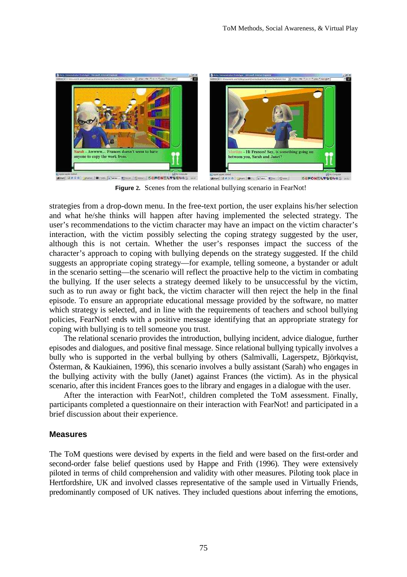

**Figure 2.** Scenes from the relational bullying scenario in FearNot!

strategies from a drop-down menu. In the free-text portion, the user explains his/her selection and what he/she thinks will happen after having implemented the selected strategy. The user's recommendations to the victim character may have an impact on the victim character's interaction, with the victim possibly selecting the coping strategy suggested by the user, although this is not certain. Whether the user's responses impact the success of the character's approach to coping with bullying depends on the strategy suggested. If the child suggests an appropriate coping strategy—for example, telling someone, a bystander or adult in the scenario setting—the scenario will reflect the proactive help to the victim in combating the bullying. If the user selects a strategy deemed likely to be unsuccessful by the victim, such as to run away or fight back, the victim character will then reject the help in the final episode. To ensure an appropriate educational message provided by the software, no matter which strategy is selected, and in line with the requirements of teachers and school bullying policies, FearNot! ends with a positive message identifying that an appropriate strategy for coping with bullying is to tell someone you trust.

The relational scenario provides the introduction, bullying incident, advice dialogue, further episodes and dialogues, and positive final message. Since relational bullying typically involves a bully who is supported in the verbal bullying by others (Salmivalli, Lagerspetz, Björkqvist, Österman, & Kaukiainen, 1996), this scenario involves a bully assistant (Sarah) who engages in the bullying activity with the bully (Janet) against Frances (the victim). As in the physical scenario, after this incident Frances goes to the library and engages in a dialogue with the user.

After the interaction with FearNot!, children completed the ToM assessment. Finally, participants completed a questionnaire on their interaction with FearNot! and participated in a brief discussion about their experience.

# **Measures**

The ToM questions were devised by experts in the field and were based on the first-order and second-order false belief questions used by Happe and Frith (1996). They were extensively piloted in terms of child comprehension and validity with other measures. Piloting took place in Hertfordshire, UK and involved classes representative of the sample used in Virtually Friends, predominantly composed of UK natives. They included questions about inferring the emotions,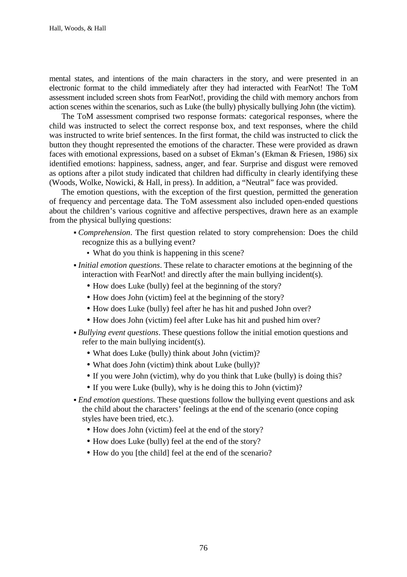mental states, and intentions of the main characters in the story, and were presented in an electronic format to the child immediately after they had interacted with FearNot! The ToM assessment included screen shots from FearNot!, providing the child with memory anchors from action scenes within the scenarios, such as Luke (the bully) physically bullying John (the victim).

The ToM assessment comprised two response formats: categorical responses, where the child was instructed to select the correct response box, and text responses, where the child was instructed to write brief sentences. In the first format, the child was instructed to click the button they thought represented the emotions of the character. These were provided as drawn faces with emotional expressions, based on a subset of Ekman's (Ekman & Friesen, 1986) six identified emotions: happiness, sadness, anger, and fear. Surprise and disgust were removed as options after a pilot study indicated that children had difficulty in clearly identifying these (Woods, Wolke, Nowicki, & Hall, in press). In addition, a "Neutral" face was provided.

The emotion questions, with the exception of the first question, permitted the generation of frequency and percentage data. The ToM assessment also included open-ended questions about the children's various cognitive and affective perspectives, drawn here as an example from the physical bullying questions:

- *Comprehension*. The first question related to story comprehension: Does the child recognize this as a bullying event?
	- What do you think is happening in this scene?
- *Initial emotion questions*. These relate to character emotions at the beginning of the interaction with FearNot! and directly after the main bullying incident(s).
	- How does Luke (bully) feel at the beginning of the story?
	- How does John (victim) feel at the beginning of the story?
	- How does Luke (bully) feel after he has hit and pushed John over?
	- How does John (victim) feel after Luke has hit and pushed him over?
- *Bullying event questions*. These questions follow the initial emotion questions and refer to the main bullying incident(s).
	- What does Luke (bully) think about John (victim)?
	- What does John (victim) think about Luke (bully)?
	- If you were John (victim), why do you think that Luke (bully) is doing this?
	- If you were Luke (bully), why is he doing this to John (victim)?
- *End emotion questions*. These questions follow the bullying event questions and ask the child about the characters' feelings at the end of the scenario (once coping styles have been tried, etc.).
	- How does John (victim) feel at the end of the story?
	- How does Luke (bully) feel at the end of the story?
	- How do you [the child] feel at the end of the scenario?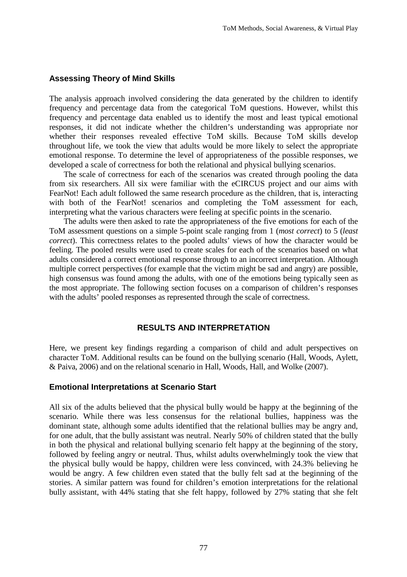#### **Assessing Theory of Mind Skills**

The analysis approach involved considering the data generated by the children to identify frequency and percentage data from the categorical ToM questions. However, whilst this frequency and percentage data enabled us to identify the most and least typical emotional responses, it did not indicate whether the children's understanding was appropriate nor whether their responses revealed effective ToM skills. Because ToM skills develop throughout life, we took the view that adults would be more likely to select the appropriate emotional response. To determine the level of appropriateness of the possible responses, we developed a scale of correctness for both the relational and physical bullying scenarios.

The scale of correctness for each of the scenarios was created through pooling the data from six researchers. All six were familiar with the eCIRCUS project and our aims with FearNot! Each adult followed the same research procedure as the children, that is, interacting with both of the FearNot! scenarios and completing the ToM assessment for each, interpreting what the various characters were feeling at specific points in the scenario.

The adults were then asked to rate the appropriateness of the five emotions for each of the ToM assessment questions on a simple 5-point scale ranging from 1 (*most correct*) to 5 (*least correct*). This correctness relates to the pooled adults' views of how the character would be feeling. The pooled results were used to create scales for each of the scenarios based on what adults considered a correct emotional response through to an incorrect interpretation. Although multiple correct perspectives (for example that the victim might be sad and angry) are possible, high consensus was found among the adults, with one of the emotions being typically seen as the most appropriate. The following section focuses on a comparison of children's responses with the adults' pooled responses as represented through the scale of correctness.

## **RESULTS AND INTERPRETATION**

Here, we present key findings regarding a comparison of child and adult perspectives on character ToM. Additional results can be found on the bullying scenario (Hall, Woods, Aylett, & Paiva, 2006) and on the relational scenario in Hall, Woods, Hall, and Wolke (2007).

#### **Emotional Interpretations at Scenario Start**

All six of the adults believed that the physical bully would be happy at the beginning of the scenario. While there was less consensus for the relational bullies, happiness was the dominant state, although some adults identified that the relational bullies may be angry and, for one adult, that the bully assistant was neutral. Nearly 50% of children stated that the bully in both the physical and relational bullying scenario felt happy at the beginning of the story, followed by feeling angry or neutral. Thus, whilst adults overwhelmingly took the view that the physical bully would be happy, children were less convinced, with 24.3% believing he would be angry. A few children even stated that the bully felt sad at the beginning of the stories. A similar pattern was found for children's emotion interpretations for the relational bully assistant, with 44% stating that she felt happy, followed by 27% stating that she felt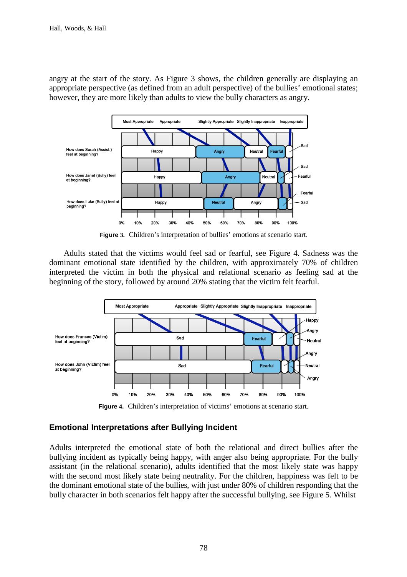angry at the start of the story. As Figure 3 shows, the children generally are displaying an appropriate perspective (as defined from an adult perspective) of the bullies' emotional states; however, they are more likely than adults to view the bully characters as angry.



**Figure 3.** Children's interpretation of bullies' emotions at scenario start.

 Adults stated that the victims would feel sad or fearful, see Figure 4. Sadness was the dominant emotional state identified by the children, with approximately 70% of children interpreted the victim in both the physical and relational scenario as feeling sad at the beginning of the story, followed by around 20% stating that the victim felt fearful.



**Figure 4.** Children's interpretation of victims' emotions at scenario start.

# **Emotional Interpretations after Bullying Incident**

Adults interpreted the emotional state of both the relational and direct bullies after the bullying incident as typically being happy, with anger also being appropriate. For the bully assistant (in the relational scenario), adults identified that the most likely state was happy with the second most likely state being neutrality. For the children, happiness was felt to be the dominant emotional state of the bullies, with just under 80% of children responding that the bully character in both scenarios felt happy after the successful bullying, see Figure 5. Whilst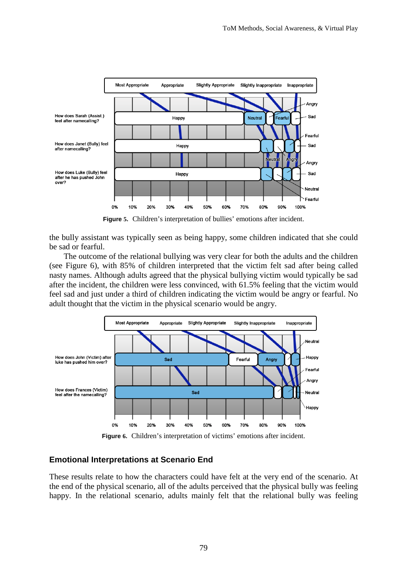

**Figure 5.** Children's interpretation of bullies' emotions after incident.

the bully assistant was typically seen as being happy, some children indicated that she could be sad or fearful.

The outcome of the relational bullying was very clear for both the adults and the children (see Figure 6), with 85% of children interpreted that the victim felt sad after being called nasty names. Although adults agreed that the physical bullying victim would typically be sad after the incident, the children were less convinced, with 61.5% feeling that the victim would feel sad and just under a third of children indicating the victim would be angry or fearful. No adult thought that the victim in the physical scenario would be angry.



**Figure 6.** Children's interpretation of victims' emotions after incident.

# **Emotional Interpretations at Scenario End**

These results relate to how the characters could have felt at the very end of the scenario. At the end of the physical scenario, all of the adults perceived that the physical bully was feeling happy. In the relational scenario, adults mainly felt that the relational bully was feeling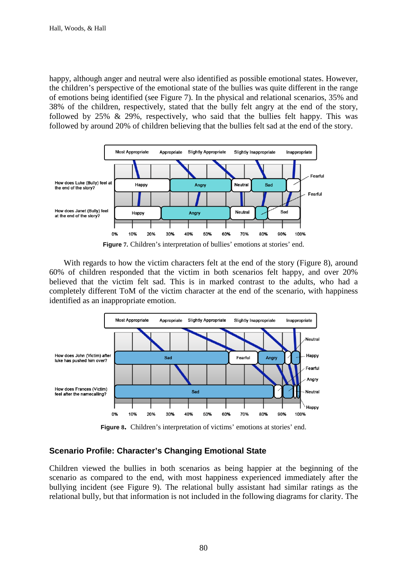happy, although anger and neutral were also identified as possible emotional states. However, the children's perspective of the emotional state of the bullies was quite different in the range of emotions being identified (see Figure 7). In the physical and relational scenarios, 35% and 38% of the children, respectively, stated that the bully felt angry at the end of the story, followed by  $25\% \& 29\%$ , respectively, who said that the bullies felt happy. This was followed by around 20% of children believing that the bullies felt sad at the end of the story.



With regards to how the victim characters felt at the end of the story (Figure 8), around 60% of children responded that the victim in both scenarios felt happy, and over 20% believed that the victim felt sad. This is in marked contrast to the adults, who had a completely different ToM of the victim character at the end of the scenario, with happiness identified as an inappropriate emotion.



**Figure 8.** Children's interpretation of victims' emotions at stories' end.

# **Scenario Profile: Character's Changing Emotional State**

Children viewed the bullies in both scenarios as being happier at the beginning of the scenario as compared to the end, with most happiness experienced immediately after the bullying incident (see Figure 9). The relational bully assistant had similar ratings as the relational bully, but that information is not included in the following diagrams for clarity. The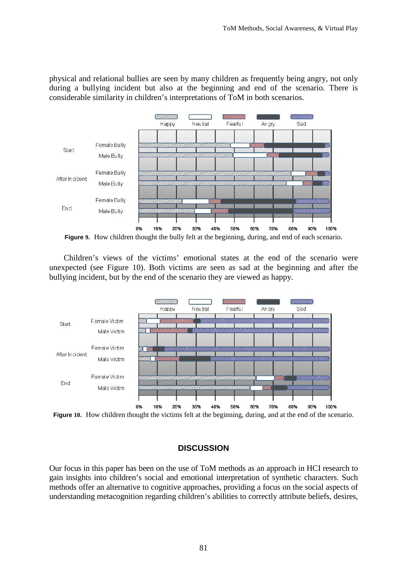physical and relational bullies are seen by many children as frequently being angry, not only during a bullying incident but also at the beginning and end of the scenario. There is considerable similarity in children's interpretations of ToM in both scenarios.



**Figure 9.** How children thought the bully felt at the beginning, during, and end of each scenario.

Children's views of the victims' emotional states at the end of the scenario were unexpected (see Figure 10). Both victims are seen as sad at the beginning and after the bullying incident, but by the end of the scenario they are viewed as happy.



**Figure 10.** How children thought the victims felt at the beginning, during, and at the end of the scenario.

# **DISCUSSION**

Our focus in this paper has been on the use of ToM methods as an approach in HCI research to gain insights into children's social and emotional interpretation of synthetic characters. Such methods offer an alternative to cognitive approaches, providing a focus on the social aspects of understanding metacognition regarding children's abilities to correctly attribute beliefs, desires,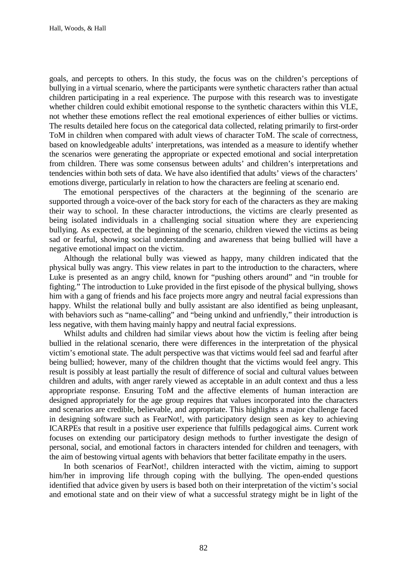goals, and percepts to others. In this study, the focus was on the children's perceptions of bullying in a virtual scenario, where the participants were synthetic characters rather than actual children participating in a real experience. The purpose with this research was to investigate whether children could exhibit emotional response to the synthetic characters within this VLE, not whether these emotions reflect the real emotional experiences of either bullies or victims. The results detailed here focus on the categorical data collected, relating primarily to first-order ToM in children when compared with adult views of character ToM. The scale of correctness, based on knowledgeable adults' interpretations, was intended as a measure to identify whether the scenarios were generating the appropriate or expected emotional and social interpretation from children. There was some consensus between adults' and children's interpretations and tendencies within both sets of data. We have also identified that adults' views of the characters' emotions diverge, particularly in relation to how the characters are feeling at scenario end.

The emotional perspectives of the characters at the beginning of the scenario are supported through a voice-over of the back story for each of the characters as they are making their way to school. In these character introductions, the victims are clearly presented as being isolated individuals in a challenging social situation where they are experiencing bullying. As expected, at the beginning of the scenario, children viewed the victims as being sad or fearful, showing social understanding and awareness that being bullied will have a negative emotional impact on the victim.

Although the relational bully was viewed as happy, many children indicated that the physical bully was angry. This view relates in part to the introduction to the characters, where Luke is presented as an angry child, known for "pushing others around" and "in trouble for fighting." The introduction to Luke provided in the first episode of the physical bullying, shows him with a gang of friends and his face projects more angry and neutral facial expressions than happy. Whilst the relational bully and bully assistant are also identified as being unpleasant, with behaviors such as "name-calling" and "being unkind and unfriendly," their introduction is less negative, with them having mainly happy and neutral facial expressions.

Whilst adults and children had similar views about how the victim is feeling after being bullied in the relational scenario, there were differences in the interpretation of the physical victim's emotional state. The adult perspective was that victims would feel sad and fearful after being bullied; however, many of the children thought that the victims would feel angry. This result is possibly at least partially the result of difference of social and cultural values between children and adults, with anger rarely viewed as acceptable in an adult context and thus a less appropriate response. Ensuring ToM and the affective elements of human interaction are designed appropriately for the age group requires that values incorporated into the characters and scenarios are credible, believable, and appropriate. This highlights a major challenge faced in designing software such as FearNot!, with participatory design seen as key to achieving ICARPEs that result in a positive user experience that fulfills pedagogical aims. Current work focuses on extending our participatory design methods to further investigate the design of personal, social, and emotional factors in characters intended for children and teenagers, with the aim of bestowing virtual agents with behaviors that better facilitate empathy in the users.

In both scenarios of FearNot!, children interacted with the victim, aiming to support him/her in improving life through coping with the bullying. The open-ended questions identified that advice given by users is based both on their interpretation of the victim's social and emotional state and on their view of what a successful strategy might be in light of the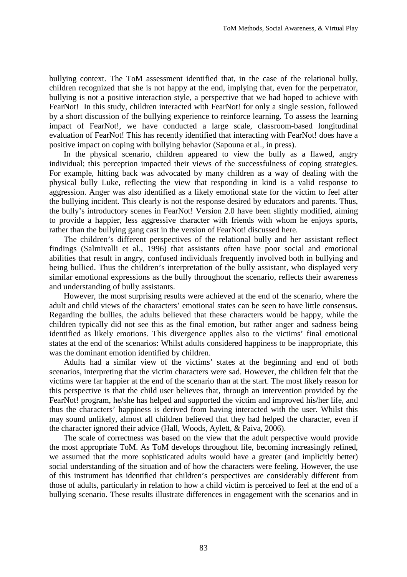bullying context. The ToM assessment identified that, in the case of the relational bully, children recognized that she is not happy at the end, implying that, even for the perpetrator, bullying is not a positive interaction style, a perspective that we had hoped to achieve with FearNot! In this study, children interacted with FearNot! for only a single session, followed by a short discussion of the bullying experience to reinforce learning. To assess the learning impact of FearNot!, we have conducted a large scale, classroom-based longitudinal evaluation of FearNot! This has recently identified that interacting with FearNot! does have a positive impact on coping with bullying behavior (Sapouna et al., in press).

In the physical scenario, children appeared to view the bully as a flawed, angry individual; this perception impacted their views of the successfulness of coping strategies. For example, hitting back was advocated by many children as a way of dealing with the physical bully Luke, reflecting the view that responding in kind is a valid response to aggression. Anger was also identified as a likely emotional state for the victim to feel after the bullying incident. This clearly is not the response desired by educators and parents. Thus, the bully's introductory scenes in FearNot! Version 2.0 have been slightly modified, aiming to provide a happier, less aggressive character with friends with whom he enjoys sports, rather than the bullying gang cast in the version of FearNot! discussed here.

The children's different perspectives of the relational bully and her assistant reflect findings (Salmivalli et al., 1996) that assistants often have poor social and emotional abilities that result in angry, confused individuals frequently involved both in bullying and being bullied. Thus the children's interpretation of the bully assistant, who displayed very similar emotional expressions as the bully throughout the scenario, reflects their awareness and understanding of bully assistants.

However, the most surprising results were achieved at the end of the scenario, where the adult and child views of the characters' emotional states can be seen to have little consensus. Regarding the bullies, the adults believed that these characters would be happy, while the children typically did not see this as the final emotion, but rather anger and sadness being identified as likely emotions. This divergence applies also to the victims' final emotional states at the end of the scenarios: Whilst adults considered happiness to be inappropriate, this was the dominant emotion identified by children.

Adults had a similar view of the victims' states at the beginning and end of both scenarios, interpreting that the victim characters were sad. However, the children felt that the victims were far happier at the end of the scenario than at the start. The most likely reason for this perspective is that the child user believes that, through an intervention provided by the FearNot! program, he/she has helped and supported the victim and improved his/her life, and thus the characters' happiness is derived from having interacted with the user. Whilst this may sound unlikely, almost all children believed that they had helped the character, even if the character ignored their advice (Hall, Woods, Aylett, & Paiva, 2006).

The scale of correctness was based on the view that the adult perspective would provide the most appropriate ToM. As ToM develops throughout life, becoming increasingly refined, we assumed that the more sophisticated adults would have a greater (and implicitly better) social understanding of the situation and of how the characters were feeling. However, the use of this instrument has identified that children's perspectives are considerably different from those of adults, particularly in relation to how a child victim is perceived to feel at the end of a bullying scenario. These results illustrate differences in engagement with the scenarios and in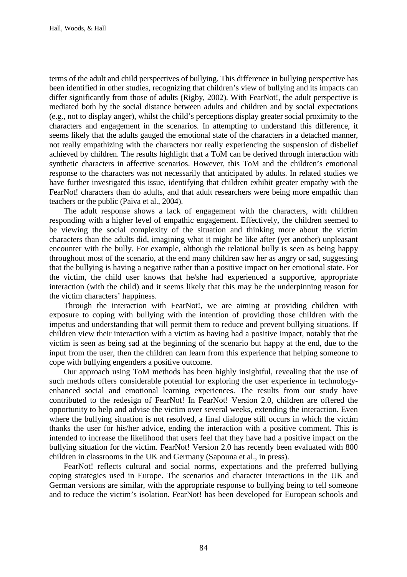terms of the adult and child perspectives of bullying. This difference in bullying perspective has been identified in other studies, recognizing that children's view of bullying and its impacts can differ significantly from those of adults (Rigby, 2002). With FearNot!, the adult perspective is mediated both by the social distance between adults and children and by social expectations (e.g., not to display anger), whilst the child's perceptions display greater social proximity to the characters and engagement in the scenarios. In attempting to understand this difference, it seems likely that the adults gauged the emotional state of the characters in a detached manner, not really empathizing with the characters nor really experiencing the suspension of disbelief achieved by children. The results highlight that a ToM can be derived through interaction with synthetic characters in affective scenarios. However, this ToM and the children's emotional response to the characters was not necessarily that anticipated by adults. In related studies we have further investigated this issue, identifying that children exhibit greater empathy with the FearNot! characters than do adults, and that adult researchers were being more empathic than teachers or the public (Paiva et al., 2004).

The adult response shows a lack of engagement with the characters, with children responding with a higher level of empathic engagement. Effectively, the children seemed to be viewing the social complexity of the situation and thinking more about the victim characters than the adults did, imagining what it might be like after (yet another) unpleasant encounter with the bully. For example, although the relational bully is seen as being happy throughout most of the scenario, at the end many children saw her as angry or sad, suggesting that the bullying is having a negative rather than a positive impact on her emotional state. For the victim, the child user knows that he/she had experienced a supportive, appropriate interaction (with the child) and it seems likely that this may be the underpinning reason for the victim characters' happiness.

Through the interaction with FearNot!, we are aiming at providing children with exposure to coping with bullying with the intention of providing those children with the impetus and understanding that will permit them to reduce and prevent bullying situations. If children view their interaction with a victim as having had a positive impact, notably that the victim is seen as being sad at the beginning of the scenario but happy at the end, due to the input from the user, then the children can learn from this experience that helping someone to cope with bullying engenders a positive outcome.

Our approach using ToM methods has been highly insightful, revealing that the use of such methods offers considerable potential for exploring the user experience in technologyenhanced social and emotional learning experiences. The results from our study have contributed to the redesign of FearNot! In FearNot! Version 2.0, children are offered the opportunity to help and advise the victim over several weeks, extending the interaction. Even where the bullying situation is not resolved, a final dialogue still occurs in which the victim thanks the user for his/her advice, ending the interaction with a positive comment. This is intended to increase the likelihood that users feel that they have had a positive impact on the bullying situation for the victim. FearNot! Version 2.0 has recently been evaluated with 800 children in classrooms in the UK and Germany (Sapouna et al., in press).

FearNot! reflects cultural and social norms, expectations and the preferred bullying coping strategies used in Europe. The scenarios and character interactions in the UK and German versions are similar, with the appropriate response to bullying being to tell someone and to reduce the victim's isolation. FearNot! has been developed for European schools and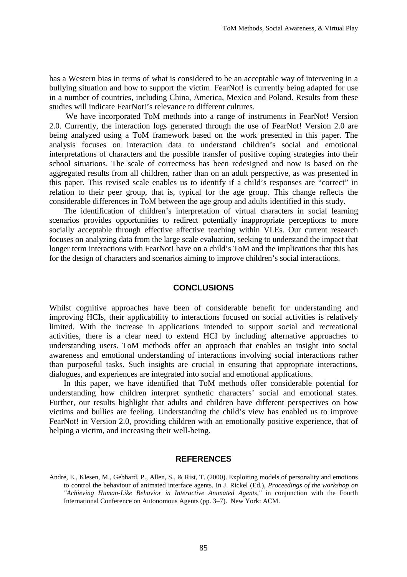has a Western bias in terms of what is considered to be an acceptable way of intervening in a bullying situation and how to support the victim. FearNot! is currently being adapted for use in a number of countries, including China, America, Mexico and Poland. Results from these studies will indicate FearNot!'s relevance to different cultures.

 We have incorporated ToM methods into a range of instruments in FearNot! Version 2.0. Currently, the interaction logs generated through the use of FearNot! Version 2.0 are being analyzed using a ToM framework based on the work presented in this paper. The analysis focuses on interaction data to understand children's social and emotional interpretations of characters and the possible transfer of positive coping strategies into their school situations. The scale of correctness has been redesigned and now is based on the aggregated results from all children, rather than on an adult perspective, as was presented in this paper. This revised scale enables us to identify if a child's responses are "correct" in relation to their peer group, that is, typical for the age group. This change reflects the considerable differences in ToM between the age group and adults identified in this study.

The identification of children's interpretation of virtual characters in social learning scenarios provides opportunities to redirect potentially inappropriate perceptions to more socially acceptable through effective affective teaching within VLEs. Our current research focuses on analyzing data from the large scale evaluation, seeking to understand the impact that longer term interactions with FearNot! have on a child's ToM and the implications that this has for the design of characters and scenarios aiming to improve children's social interactions.

#### **CONCLUSIONS**

Whilst cognitive approaches have been of considerable benefit for understanding and improving HCIs, their applicability to interactions focused on social activities is relatively limited. With the increase in applications intended to support social and recreational activities, there is a clear need to extend HCI by including alternative approaches to understanding users. ToM methods offer an approach that enables an insight into social awareness and emotional understanding of interactions involving social interactions rather than purposeful tasks. Such insights are crucial in ensuring that appropriate interactions, dialogues, and experiences are integrated into social and emotional applications.

In this paper, we have identified that ToM methods offer considerable potential for understanding how children interpret synthetic characters' social and emotional states. Further, our results highlight that adults and children have different perspectives on how victims and bullies are feeling. Understanding the child's view has enabled us to improve FearNot! in Version 2.0, providing children with an emotionally positive experience, that of helping a victim, and increasing their well-being.

#### **REFERENCES**

Andre, E., Klesen, M., Gebhard, P., Allen, S., & Rist, T. (2000). Exploiting models of personality and emotions to control the behaviour of animated interface agents. In J. Rickel (Ed.), *Proceedings of the workshop on "Achieving Human-Like Behavior in Interactive Animated Agents,"* in conjunction with the Fourth International Conference on Autonomous Agents (pp. 3–7). New York: ACM.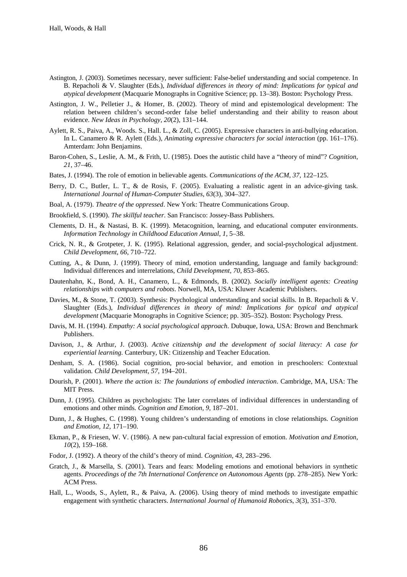- Astington, J. (2003). Sometimes necessary, never sufficient: False-belief understanding and social competence. In B. Repacholi & V. Slaughter (Eds.), *Individual differences in theory of mind: Implications for typical and atypical development* (Macquarie Monographs in Cognitive Science; pp. 13–38). Boston: Psychology Press.
- Astington, J. W., Pelletier J., & Homer, B. (2002). Theory of mind and epistemological development: The relation between children's second-order false belief understanding and their ability to reason about evidence. *New Ideas in Psychology, 20*(2), 131–144.
- Aylett, R. S., Paiva, A., Woods. S., Hall. L., & Zoll, C. (2005). Expressive characters in anti-bullying education. In L. Canamero & R. Aylett (Eds.), *Animating expressive characters for social interaction* (pp. 161–176). Amterdam: John Benjamins.
- Baron-Cohen, S., Leslie, A. M., & Frith, U. (1985). Does the autistic child have a "theory of mind"? *Cognition*, *21*, 37–46.
- Bates, J. (1994). The role of emotion in believable agents*. Communications of the ACM*, *37*, 122–125.
- Berry, D. C., Butler, L. T., & de Rosis, F. (2005). Evaluating a realistic agent in an advice-giving task. *International Journal of Human-Computer Studies*, *63*(3), 304–327.
- Boal, A. (1979). *Theatre of the oppressed*. New York: Theatre Communications Group.
- Brookfield, S. (1990). *The skillful teacher*. San Francisco: Jossey-Bass Publishers.
- Clements, D. H., & Nastasi, B. K. (1999). Metacognition, learning, and educational computer environments. *Information Technology in Childhood Education Annual*, *1*, 5–38.
- Crick, N. R., & Grotpeter, J. K. (1995). Relational aggression, gender, and social-psychological adjustment. *Child Development*, *66*, 710–722.
- Cutting, A., & Dunn, J. (1999). Theory of mind, emotion understanding, language and family background: Individual differences and interrelations, *Child Development, 70*, 853–865.
- Dautenhahn, K., Bond, A. H., Canamero, L., & Edmonds, B. (2002). *Socially intelligent agents: Creating relationships with computers and robots*. Norwell, MA, USA: Kluwer Academic Publishers.
- Davies, M., & Stone, T. (2003). Synthesis: Psychological understanding and social skills. In B. Repacholi & V. Slaughter (Eds.), *Individual differences in theory of mind: Implications for typical and atypical development* (Macquarie Monographs in Cognitive Science; pp. 305–352). Boston: Psychology Press.
- Davis, M. H. (1994). *Empathy: A social psychological approach*. Dubuque, Iowa, USA: Brown and Benchmark Publishers.
- Davison, J., & Arthur, J. (2003). *Active citizenship and the development of social literacy: A case for experiential learning.* Canterbury, UK: Citizenship and Teacher Education.
- Denham, S. A. (1986). Social cognition, pro-social behavior, and emotion in preschoolers: Contextual validation. *Child Development*, *57*, 194–201.
- Dourish, P. (2001). *Where the action is: The foundations of embodied interaction*. Cambridge, MA, USA: The MIT Press.
- Dunn, J. (1995). Children as psychologists: The later correlates of individual differences in understanding of emotions and other minds. *Cognition and Emotion*, *9*, 187–201.
- Dunn, J., & Hughes, C. (1998). Young children's understanding of emotions in close relationships. *Cognition and Emotion, 12*, 171–190.
- Ekman, P., & Friesen, W. V. (1986). A new pan-cultural facial expression of emotion. *Motivation and Emotion*, *10*(2), 159–168.
- Fodor, J. (1992). A theory of the child's theory of mind. *Cognition*, *43*, 283–296.
- Gratch, J., & Marsella, S. (2001). Tears and fears: Modeling emotions and emotional behaviors in synthetic agents. *Proceedings of the 7th International Conference on Autonomous Agents* (pp. 278–285)*.* New York: ACM Press.
- Hall, L., Woods, S., Aylett, R., & Paiva, A. (2006). Using theory of mind methods to investigate empathic engagement with synthetic characters. *International Journal of Humanoid Robotic*s, *3*(3), 351–370.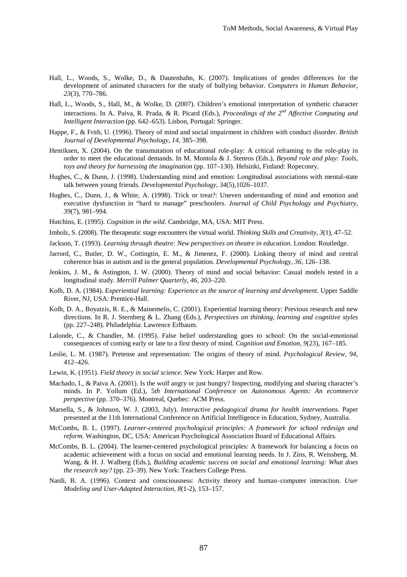- Hall, L., Woods, S., Wolke, D., & Dautenhahn, K. (2007). Implications of gender differences for the development of animated characters for the study of bullying behavior. *Computers in Human Behavior*, *23*(3), 770–786.
- Hall, L., Woods, S., Hall, M., & Wolke, D. (2007). Children's emotional interpretation of synthetic character interactions. In A. Paiva, R. Prada, & R. Picard (Eds.), *Proceedings of the 2nd Affective Computing and Intelligent Interaction* (pp. 642–653). Lisbon, Portugal: Springer.
- Happe, F., & Frith, U. (1996). Theory of mind and social impairment in children with conduct disorder. *British Journal of Developmental Psychology*, *14*, 385–398.
- Henriksen, X. (2004). On the transmutation of educational role-play: A critical reframing to the role-play in order to meet the educational demands. In M. Montola & J. Stenros (Eds.), *Beyond role and play: Tools, toys and theory for harnessing the imagination* (pp. 107–130). Helsinki, Finland: Ropeconry.
- Hughes, C., & Dunn, J. (1998). Understanding mind and emotion: Longitudinal associations with mental-state talk between young friends. *Developmental Psychology*, *34*(5),1026–1037.
- Hughes, C., Dunn, J., & White, A. (1998). Trick or treat?: Uneven understanding of mind and emotion and executive dysfunction in "hard to manage" preschoolers. *Journal of Child Psychology and Psychiatry*, *39*(7), 981–994.
- Hutchins, E. (1995). *Cognition in the wild*. Cambridge, MA, USA: MIT Press.
- Imholz, S. (2008). The therapeutic stage encounters the virtual world. *Thinking Skills and Creativity*, *3*(1), 47–52.
- Jackson, T. (1993). *Learning through theatre: New perspectives on theatre in education*. London: Routledge.
- Jarrord, C., Butler, D. W., Cottingtin, E. M., & Jimenez, F. (2000). Linking theory of mind and central coherence bias in autism and in the general population. *Developmental Psycholo*gy, *36*, 126–138.
- Jenkins, J. M., & Astington, J. W. (2000). Theory of mind and social behavior: Casual models tested in a longitudinal study. *Merrill Palmer Quarterly*, *46*, 203–220.
- Kolb, D. A. (1984). *Experiential learning: Experience as the source of learning and development.* Upper Saddle River, NJ, USA: Prentice-Hall.
- Kolb, D. A., Boyatzis, R. E., & Mainemelis, C. (2001). Experiential learning theory: Previous research and new directions. In R. J. Sternberg & L. Zhang (Eds.), *Perspectives on thinking, learning and cognitive styles* (pp. 227–248). Philadelphia: Lawrence Erlbaum.
- Lalonde, C., & Chandler, M. (1995). False belief understanding goes to school: On the social-emotional consequences of coming early or late to a first theory of mind. *Cognition and Emotion*, *9*(23), 167–185.
- Leslie, L. M. (1987). Pretense and representation: The origins of theory of mind. *Psychological Review*, *94*, 412–426.
- Lewin, K. (1951). *Field theory in social science*. New York: Harper and Row.
- Machado, I., & Paiva A. (2001). Is the wolf angry or just hungry? Inspecting, modifying and sharing character's minds. In P. Yollum (Ed.), 5*th International Conference on Autonomous Agents: An ecommerce perspective* (pp. 370–376). Montreal, Quebec: ACM Press.
- Marsella, S., & Johnson, W. J. (2003, July). *Interactive pedagogical drama for health interventions*. Paper presented at the 11th International Conference on Artificial Intelligence in Education, Sydney, Australia.
- McCombs, B. L. (1997). *Learner-centered psychological principles: A framework for school redesign and reform.* Washington, DC, USA: American Psychological Association Board of Educational Affairs.
- McCombs, B. L. (2004). The learner-centered psychological principles: A framework for balancing a focus on academic achievement with a focus on social and emotional learning needs. In J. Zins, R. Weissberg, M. Wang, & H. J. Walberg (Eds.), *Building academic success on social and emotional learning: What does the research say?* (pp. 23–39). New York: Teachers College Press.
- Nardi, B. A. (1996). Context and consciousness: Activity theory and human–computer interaction. *User Modeling and User-Adapted Interaction*, *8*(1-2), 153–157.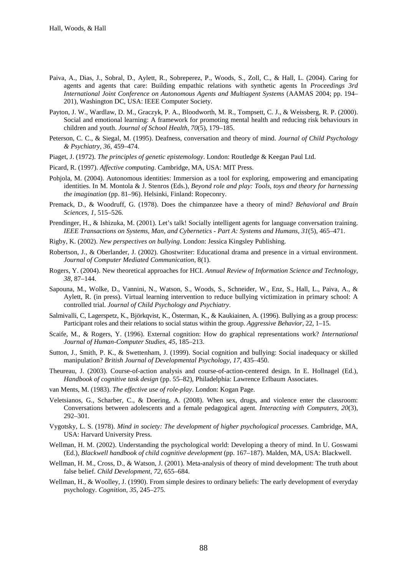- Paiva, A., Dias, J., Sobral, D., Aylett, R., Sobreperez, P., Woods, S., Zoll, C., & Hall, L. (2004). Caring for agents and agents that care: Building empathic relations with synthetic agents In *Proceedings 3rd International Joint Conference on Autonomous Agents and Multiagent Systems* (AAMAS 2004; pp. 194– 201), Washington DC, USA: IEEE Computer Society.
- Payton, J. W., Wardlaw, D. M., Graczyk, P. A., Bloodworth, M. R., Tompsett, C. J., & Weissberg, R. P. (2000). Social and emotional learning: A framework for promoting mental health and reducing risk behaviours in children and youth. *Journal of School Health*, *70*(5), 179–185.
- Peterson, C. C., & Siegal, M. (1995). Deafness, conversation and theory of mind. *Journal of Child Psychology & Psychiatry*, *36*, 459–474.
- Piaget, J. (1972). *The principles of genetic epistemology*. London: Routledge & Keegan Paul Ltd.
- Picard, R. (1997). *Affective computing*. Cambridge, MA, USA: MIT Press.
- Pohjola, M. (2004). Autonomous identities: Immersion as a tool for exploring, empowering and emancipating identities. In M. Montola & J. Stenros (Eds.), *Beyond role and play: Tools, toys and theory for harnessing the imagination* (pp. 81–96). Helsinki, Finland: Ropeconry.
- Premack, D., & Woodruff, G. (1978). Does the chimpanzee have a theory of mind? *Behavioral and Brain Sciences*, *1*, 515–526.
- Prendinger, H., & Ishizuka, M. (2001). Let's talk! Socially intelligent agents for language conversation training. *IEEE Transactions on Systems, Man, and Cybernetics - Part A: Systems and Humans*, *31*(5), 465–471.
- Rigby, K. (2002). *New perspectives on bullying*. London: Jessica Kingsley Publishing.
- Robertson, J., & Oberlander, J. (2002). Ghostwriter: Educational drama and presence in a virtual environment. *Journal of Computer Mediated Communication*, 8(1).
- Rogers, Y. (2004). New theoretical approaches for HCI. *Annual Review of Information Science and Technology*, *38*, 87–144.
- Sapouna, M., Wolke, D., Vannini, N., Watson, S., Woods, S., Schneider, W., Enz, S., Hall, L., Paiva, A., & Aylett, R. (in press). Virtual learning intervention to reduce bullying victimization in primary school: A controlled trial. *Journal of Child Psychology and Psychiatry*.
- Salmivalli, C, Lagerspetz, K., Björkqvist, K., Österman, K., & Kaukiainen, A. (1996). Bullying as a group process: Participant roles and their relations to social status within the group. *Aggressive Behavior*, 22, 1–15.
- Scaife, M., & Rogers, Y. (1996). External cognition: How do graphical representations work? *International Journal of Human-Computer Studies*, *45*, 185–213.
- Sutton, J., Smith, P. K., & Swettenham, J. (1999). Social cognition and bullying: Social inadequacy or skilled manipulation? *British Journal of Developmental Psychology*, *17*, 435–450.
- Theureau, J. (2003). Course-of-action analysis and course-of-action-centered design. In E. Hollnagel (Ed.), *Handbook of cognitive task design* (pp. 55–82), Philadelphia: Lawrence Erlbaum Associates.
- van Ments, M. (1983). *The effective use of role-play*. London: Kogan Page.
- Veletsianos, G., Scharber, C., & Doering, A. (2008). When sex, drugs, and violence enter the classroom: Conversations between adolescents and a female pedagogical agent. *Interacting with Computers, 20*(3), 292–301.
- Vygotsky, L. S. (1978). *Mind in society: The development of higher psychological processes*. Cambridge, MA, USA: Harvard University Press.
- Wellman, H. M. (2002). Understanding the psychological world: Developing a theory of mind. In U. Goswami (Ed.), *Blackwell handbook of child cognitive development* (pp. 167–187). Malden, MA, USA: Blackwell.
- Wellman, H. M., Cross, D., & Watson, J. (2001). Meta-analysis of theory of mind development: The truth about false belief. *Child Development*, *72*, 655–684.
- Wellman, H., & Woolley, J. (1990). From simple desires to ordinary beliefs: The early development of everyday psychology. *Cognition*, *35*, 245–275.